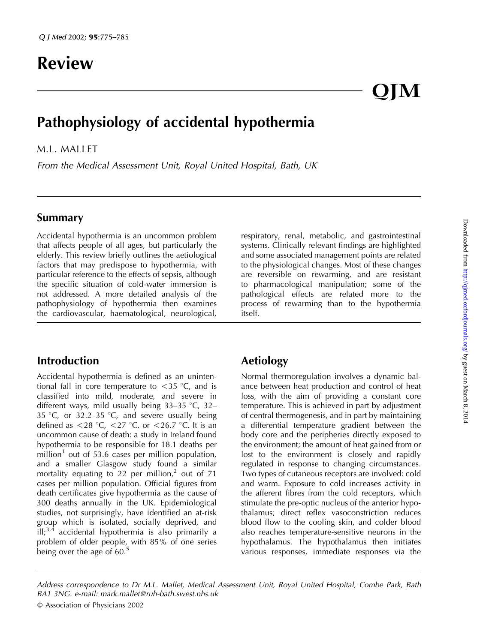# Review

# Pathophysiology of accidental hypothermia

M.L. MALLET

From the Medical Assessment Unit, Royal United Hospital, Bath, UK

# Summary

Accidental hypothermia is an uncommon problem that affects people of all ages, but particularly the elderly. This review briefly outlines the aetiological factors that may predispose to hypothermia, with particular reference to the effects of sepsis, although the specific situation of cold-water immersion is not addressed. A more detailed analysis of the pathophysiology of hypothermia then examines the cardiovascular, haematological, neurological,

# Introduction

Accidental hypothermia is defined as an unintentional fall in core temperature to  $\langle 35 \rangle^{\circ}$ C, and is classified into mild, moderate, and severe in different ways, mild usually being  $33-35$  °C,  $32-$ 35 °C, or 32.2-35 °C, and severe usually being defined as  $<$  28 °C,  $<$  27 °C, or  $<$  26.7 °C. It is an uncommon cause of death: a study in Ireland found hypothermia to be responsible for 18.1 deaths per million<sup>1</sup> out of 53.6 cases per million population, and a smaller Glasgow study found a similar mortality equating to 22 per million,<sup>2</sup> out of 71 cases per million population. Official figures from death certificates give hypothermia as the cause of 300 deaths annually in the UK. Epidemiological studies, not surprisingly, have identified an at-risk group which is isolated, socially deprived, and  $\tilde{\text{III}}$ ;<sup>3,4</sup> accidental hypothermia is also primarily a problem of older people, with 85% of one series being over the age of  $60<sup>5</sup>$ 

respiratory, renal, metabolic, and gastrointestinal systems. Clinically relevant findings are highlighted and some associated management points are related to the physiological changes. Most of these changes are reversible on rewarming, and are resistant to pharmacological manipulation; some of the pathological effects are related more to the process of rewarming than to the hypothermia itself.

OIM

# Aetiology

Normal thermoregulation involves a dynamic balance between heat production and control of heat loss, with the aim of providing a constant core temperature. This is achieved in part by adjustment of central thermogenesis, and in part by maintaining a differential temperature gradient between the body core and the peripheries directly exposed to the environment; the amount of heat gained from or lost to the environment is closely and rapidly regulated in response to changing circumstances. Two types of cutaneous receptors are involved: cold and warm. Exposure to cold increases activity in the afferent fibres from the cold receptors, which stimulate the pre-optic nucleus of the anterior hypothalamus; direct reflex vasoconstriction reduces blood flow to the cooling skin, and colder blood also reaches temperature-sensitive neurons in the hypothalamus. The hypothalamus then initiates various responses, immediate responses via the

Address correspondence to Dr M.L. Mallet, Medical Assessment Unit, Royal United Hospital, Combe Park, Bath BA1 3NG. e-mail: mark.mallet@ruh-bath.swest.nhs.uk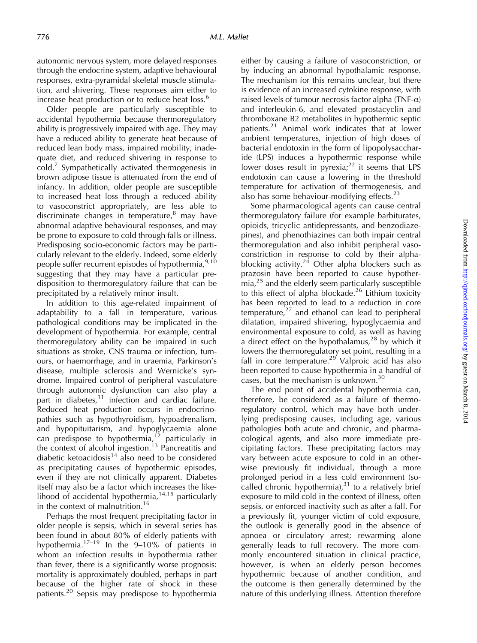autonomic nervous system, more delayed responses through the endocrine system, adaptive behavioural responses, extra-pyramidal skeletal muscle stimulation, and shivering. These responses aim either to increase heat production or to reduce heat loss.<sup>6</sup>

Older people are particularly susceptible to accidental hypothermia because thermoregulatory ability is progressively impaired with age. They may have a reduced ability to generate heat because of reduced lean body mass, impaired mobility, inadequate diet, and reduced shivering in response to  $\text{cold.}^7$  Sympathetically activated thermogenesis in brown adipose tissue is attenuated from the end of infancy. In addition, older people are susceptible to increased heat loss through a reduced ability to vasoconstrict appropriately, are less able to discriminate changes in temperature, $8 \text{ may have}$ abnormal adaptive behavioural responses, and may be prone to exposure to cold through falls or illness. Predisposing socio-economic factors may be particularly relevant to the elderly. Indeed, some elderly people suffer recurrent episodes of hypothermia, <sup>9,10</sup> suggesting that they may have a particular predisposition to thermoregulatory failure that can be precipitated by a relatively minor insult.

In addition to this age-related impairment of adaptability to a fall in temperature, various pathological conditions may be implicated in the development of hypothermia. For example, central thermoregulatory ability can be impaired in such situations as stroke, CNS trauma or infection, tumours, or haemorrhage, and in uraemia, Parkinson's disease, multiple sclerosis and Wernicke's syndrome. Impaired control of peripheral vasculature through autonomic dysfunction can also play a part in diabetes, $11$  infection and cardiac failure. Reduced heat production occurs in endocrinopathies such as hypothyroidism, hypoadrenalism, and hypopituitarism, and hypoglycaemia alone can predispose to hypothermia,<sup>12</sup> particularly in the context of alcohol ingestion.<sup>13</sup> Pancreatitis and diabetic ketoacidosis<sup>14</sup> also need to be considered as precipitating causes of hypothermic episodes, even if they are not clinically apparent. Diabetes itself may also be a factor which increases the likelihood of accidental hypothermia, $14,15$  particularly in the context of malnutrition.<sup>16</sup>

Perhaps the most frequent precipitating factor in older people is sepsis, which in several series has been found in about 80% of elderly patients with hypothermia.<sup>17–19</sup> In the 9–10% of patients in whom an infection results in hypothermia rather than fever, there is a significantly worse prognosis: mortality is approximately doubled, perhaps in part because of the higher rate of shock in these patients.<sup>20</sup> Sepsis may predispose to hypothermia

either by causing a failure of vasoconstriction, or by inducing an abnormal hypothalamic response. The mechanism for this remains unclear, but there is evidence of an increased cytokine response, with raised levels of tumour necrosis factor alpha (TNF- $\alpha$ ) and interleukin-6, and elevated prostacyclin and thromboxane B2 metabolites in hypothermic septic patients.21 Animal work indicates that at lower ambient temperatures, injection of high doses of bacterial endotoxin in the form of lipopolysaccharide (LPS) induces a hypothermic response while lower doses result in pyrexia; $2^2$  it seems that LPS endotoxin can cause a lowering in the threshold temperature for activation of thermogenesis, and also has some behaviour-modifying effects. $^{23}$ 

Some pharmacological agents can cause central thermoregulatory failure (for example barbiturates, opioids, tricyclic antidepressants, and benzodiazepines), and phenothiazines can both impair central thermoregulation and also inhibit peripheral vasoconstriction in response to cold by their alphablocking activity.<sup>24</sup> Other alpha blockers such as prazosin have been reported to cause hypother- $\text{mia},^{25}$  and the elderly seem particularly susceptible to this effect of alpha blockade.<sup>26</sup> Lithium toxicity has been reported to lead to a reduction in core temperature, $27$  and ethanol can lead to peripheral dilatation, impaired shivering, hypoglycaemia and environmental exposure to cold, as well as having a direct effect on the hypothalamus,<sup>28</sup> by which it lowers the thermoregulatory set point, resulting in a fall in core temperature.<sup>29</sup> Valproic acid has also been reported to cause hypothermia in a handful of cases, but the mechanism is unknown.<sup>30</sup>

The end point of accidental hypothermia can, therefore, be considered as a failure of thermoregulatory control, which may have both underlying predisposing causes, including age, various pathologies both acute and chronic, and pharmacological agents, and also more immediate precipitating factors. These precipitating factors may vary between acute exposure to cold in an otherwise previously fit individual, through a more prolonged period in a less cold environment (socalled chronic hypothermia), $31$  to a relatively brief exposure to mild cold in the context of illness, often sepsis, or enforced inactivity such as after a fall. For a previously fit, younger victim of cold exposure, the outlook is generally good in the absence of apnoea or circulatory arrest; rewarming alone generally leads to full recovery. The more commonly encountered situation in clinical practice, however, is when an elderly person becomes hypothermic because of another condition, and the outcome is then generally determined by the nature of this underlying illness. Attention therefore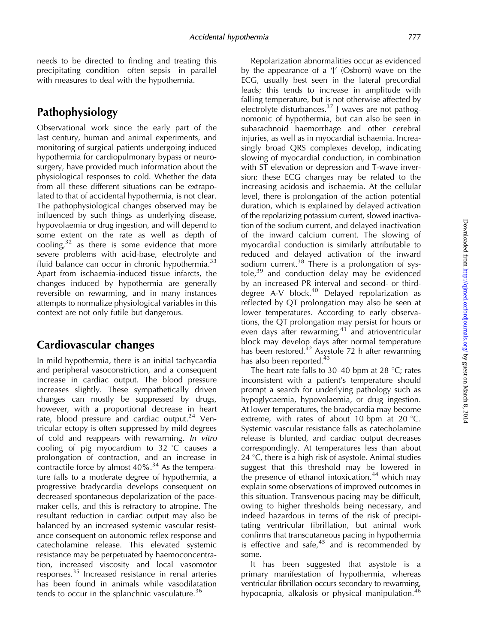needs to be directed to finding and treating this precipitating condition—often sepsis—in parallel with measures to deal with the hypothermia.

# Pathophysiology

Observational work since the early part of the last century, human and animal experiments, and monitoring of surgical patients undergoing induced hypothermia for cardiopulmonary bypass or neurosurgery, have provided much information about the physiological responses to cold. Whether the data from all these different situations can be extrapolated to that of accidental hypothermia, is not clear. The pathophysiological changes observed may be influenced by such things as underlying disease, hypovolaemia or drug ingestion, and will depend to some extent on the rate as well as depth of cooling, $32$  as there is some evidence that more severe problems with acid-base, electrolyte and fluid balance can occur in chronic hypothermia. $33$ Apart from ischaemia-induced tissue infarcts, the changes induced by hypothermia are generally reversible on rewarming, and in many instances attempts to normalize physiological variables in this context are not only futile but dangerous.

# Cardiovascular changes

In mild hypothermia, there is an initial tachycardia and peripheral vasoconstriction, and a consequent increase in cardiac output. The blood pressure increases slightly. These sympathetically driven changes can mostly be suppressed by drugs, however, with a proportional decrease in heart rate, blood pressure and cardiac output.<sup>24</sup> Ventricular ectopy is often suppressed by mild degrees of cold and reappears with rewarming. In vitro cooling of pig myocardium to  $32 \degree C$  causes a prolongation of contraction, and an increase in contractile force by almost 40%.<sup>34</sup> As the temperature falls to a moderate degree of hypothermia, a progressive bradycardia develops consequent on decreased spontaneous depolarization of the pacemaker cells, and this is refractory to atropine. The resultant reduction in cardiac output may also be balanced by an increased systemic vascular resistance consequent on autonomic reflex response and catecholamine release. This elevated systemic resistance may be perpetuated by haemoconcentration, increased viscosity and local vasomotor responses.<sup>35</sup> Increased resistance in renal arteries has been found in animals while vasodilatation tends to occur in the splanchnic vasculature.<sup>36</sup>

Repolarization abnormalities occur as evidenced by the appearance of a 'J' (Osborn) wave on the ECG, usually best seen in the lateral precordial leads; this tends to increase in amplitude with falling temperature, but is not otherwise affected by electrolyte disturbances.<sup>37</sup> J waves are not pathognomonic of hypothermia, but can also be seen in subarachnoid haemorrhage and other cerebral injuries, as well as in myocardial ischaemia. Increasingly broad QRS complexes develop, indicating slowing of myocardial conduction, in combination with ST elevation or depression and T-wave inversion; these ECG changes may be related to the increasing acidosis and ischaemia. At the cellular level, there is prolongation of the action potential duration, which is explained by delayed activation of the repolarizing potassium current, slowed inactivation of the sodium current, and delayed inactivation of the inward calcium current. The slowing of myocardial conduction is similarly attributable to reduced and delayed activation of the inward sodium current.<sup>38</sup> There is a prolongation of systole, $39$  and conduction delay may be evidenced by an increased PR interval and second- or thirddegree A-V block.<sup>40</sup> Delayed repolarization as reflected by QT prolongation may also be seen at lower temperatures. According to early observations, the QT prolongation may persist for hours or even days after rewarming, $41$  and atrioventricular block may develop days after normal temperature has been restored.<sup>42</sup> Asystole 72 h after rewarming has also been reported.<sup>43</sup>

The heart rate falls to 30–40 bpm at 28  $^{\circ}$ C; rates inconsistent with a patient's temperature should prompt a search for underlying pathology such as hypoglycaemia, hypovolaemia, or drug ingestion. At lower temperatures, the bradycardia may become extreme, with rates of about 10 bpm at 20  $\degree$ C. Systemic vascular resistance falls as catecholamine release is blunted, and cardiac output decreases correspondingly. At temperatures less than about 24  $\degree$ C, there is a high risk of asystole. Animal studies suggest that this threshold may be lowered in the presence of ethanol intoxication,<sup>44</sup> which may explain some observations of improved outcomes in this situation. Transvenous pacing may be difficult, owing to higher thresholds being necessary, and indeed hazardous in terms of the risk of precipitating ventricular fibrillation, but animal work confirms that transcutaneous pacing in hypothermia is effective and safe, $45$  and is recommended by some.

It has been suggested that asystole is a primary manifestation of hypothermia, whereas ventricular fibrillation occurs secondary to rewarming, hypocapnia, alkalosis or physical manipulation.<sup>46</sup>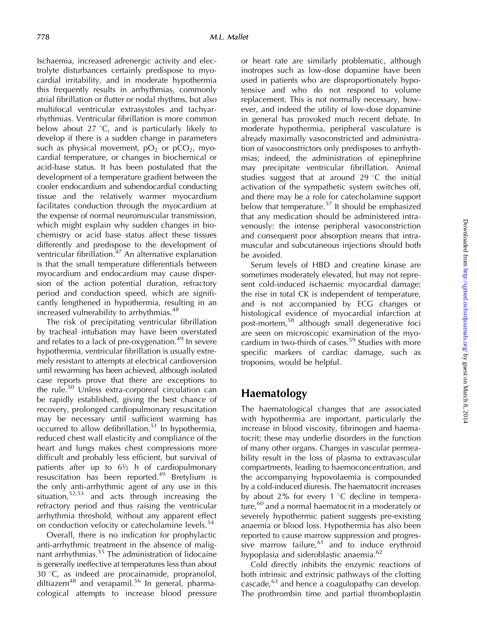Ischaemia, increased adrenergic activity and electrolyte disturbances certainly predispose to myocardial irritability, and in moderate hypothermia this frequently results in arrhythmias, commonly atrial fibrillation or flutter or nodal rhythms, but also multifocal ventricular extrasystoles and tachyarrhythmias. Ventricular fibrillation is more common below about  $27 \text{ °C}$ , and is particularly likely to develop if there is a sudden change in parameters such as physical movement,  $pO<sub>2</sub>$  or  $pCO<sub>2</sub>$ , myocardial temperature, or changes in biochemical or acid-base status. It has been postulated that the development of a temperature gradient between the cooler endocardium and subendocardial conducting tissue and the relatively warmer myocardium facilitates conduction through the myocardium at the expense of normal neuromuscular transmission, which might explain why sudden changes in biochemistry or acid base status affect these tissues differently and predispose to the development of ventricular fibrillation.47 An alternative explanation is that the small temperature differentials between myocardium and endocardium may cause dispersion of the action potential duration, refractory period and conduction speed, which are significantly lengthened in hypothermia, resulting in an increased vulnerability to arrhythmias.<sup>48</sup>

The risk of precipitating ventricular fibrillation by tracheal intubation may have been overstated and relates to a lack of pre-oxygenation.<sup>49</sup> In severe hypothermia, ventricular fibrillation is usually extremely resistant to attempts at electrical cardioversion until rewarming has been achieved, although isolated case reports prove that there are exceptions to the rule.<sup>50</sup> Unless extra-corporeal circulation can be rapidly established, giving the best chance of recovery, prolonged cardiopulmonary resuscitation may be necessary until sufficient warming has occurred to allow defibrillation.<sup>51</sup> In hypothermia, reduced chest wall elasticity and compliance of the heart and lungs makes chest compressions more difficult and probably less efficient, but survival of patients after up to  $6\frac{1}{2}$  h of cardiopulmonary resuscitation has been reported.<sup>49</sup> Bretylium is the only anti-arrhythmic agent of any use in this situation,52,53 and acts through increasing the refractory period and thus raising the ventricular arrhythmia threshold, without any apparent effect on conduction velocity or catecholamine levels.<sup>54</sup>

Overall, there is no indication for prophylactic anti-arrhythmic treatment in the absence of malignant arrhythmias.<sup>55</sup> The administration of lidocaine is generally ineffective at temperatures less than about  $30 °C$ , as indeed are procainamide, propranolol, diltiazem<sup>48</sup> and verapamil.<sup>56</sup> In general, pharmacological attempts to increase blood pressure

or heart rate are similarly problematic, although inotropes such as low-dose dopamine have been used in patients who are disproportionately hypotensive and who do not respond to volume replacement. This is not normally necessary, however, and indeed the utility of low-dose dopamine in general has provoked much recent debate. In moderate hypothermia, peripheral vasculature is already maximally vasoconstricted and administration of vasoconstrictors only predisposes to arrhythmias; indeed, the administration of epinephrine may precipitate ventricular fibrillation. Animal studies suggest that at around 29  $\degree$ C the initial activation of the sympathetic system switches off, and there may be a role for catecholamine support below that temperature.<sup>57</sup> It should be emphasized that any medication should be administered intravenously: the intense peripheral vasoconstriction and consequent poor absorption means that intramuscular and subcutaneous injections should both be avoided.

Serum levels of HBD and creatine kinase are sometimes moderately elevated, but may not represent cold-induced ischaemic myocardial damage; the rise in total CK is independent of temperature, and is not accompanied by ECG changes or histological evidence of myocardial infarction at post-mortem,<sup>58</sup> although small degenerative foci are seen on microscopic examination of the myocardium in two-thirds of cases.<sup>59</sup> Studies with more specific markers of cardiac damage, such as troponins, would be helpful.

#### Haematology

The haematological changes that are associated with hypothermia are important, particularly the increase in blood viscosity, fibrinogen and haematocrit; these may underlie disorders in the function of many other organs. Changes in vascular permeability result in the loss of plasma to extravascular compartments, leading to haemoconcentration, and the accompanying hypovolaemia is compounded by a cold-induced diuresis. The haematocrit increases by about 2% for every 1  $\degree$ C decline in temperature,<sup>60</sup> and a normal haematocrit in a moderately or severely hypothermic patient suggests pre-existing anaemia or blood loss. Hypothermia has also been reported to cause marrow suppression and progressive marrow failure,  $61$  and to induce erythroid hypoplasia and sideroblastic anaemia. $^{62}$ 

Cold directly inhibits the enzymic reactions of both intrinsic and extrinsic pathways of the clotting cascade, $^{63}$  and hence a coagulopathy can develop. The prothrombin time and partial thromboplastin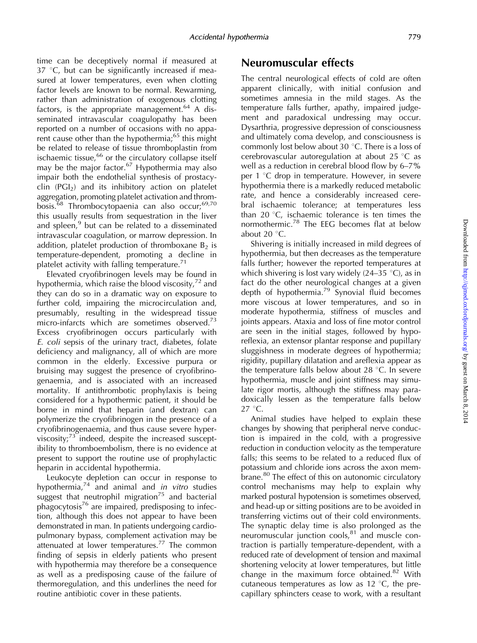time can be deceptively normal if measured at  $37$  °C, but can be significantly increased if measured at lower temperatures, even when clotting factor levels are known to be normal. Rewarming, rather than administration of exogenous clotting factors, is the appropriate management. $64$  A disseminated intravascular coagulopathy has been reported on a number of occasions with no apparent cause other than the hypothermia;<sup>65</sup> this might be related to release of tissue thromboplastin from ischaemic tissue,<sup>66</sup> or the circulatory collapse itself may be the major factor. $67$  Hypothermia may also impair both the endothelial synthesis of prostacyclin  $(PGI<sub>2</sub>)$  and its inhibitory action on platelet aggregation, promoting platelet activation and thrombosis.<sup>68</sup> Thrombocytopaenia can also occur;<sup>69,70</sup> this usually results from sequestration in the liver and spleen, $9$  but can be related to a disseminated intravascular coagulation, or marrow depression. In addition, platelet production of thromboxane  $B_2$  is temperature-dependent, promoting a decline in platelet activity with falling temperature.<sup>71</sup>

Elevated cryofibrinogen levels may be found in hypothermia, which raise the blood viscosity, $72$  and they can do so in a dramatic way on exposure to further cold, impairing the microcirculation and, presumably, resulting in the widespread tissue micro-infarcts which are sometimes observed. $73$ Excess cryofibrinogen occurs particularly with E. coli sepsis of the urinary tract, diabetes, folate deficiency and malignancy, all of which are more common in the elderly. Excessive purpura or bruising may suggest the presence of cryofibrinogenaemia, and is associated with an increased mortality. If antithrombotic prophylaxis is being considered for a hypothermic patient, it should be borne in mind that heparin (and dextran) can polymerize the cryofibrinogen in the presence of a cryofibrinogenaemia, and thus cause severe hyperviscosity; $73$  indeed, despite the increased susceptibility to thromboembolism, there is no evidence at present to support the routine use of prophylactic heparin in accidental hypothermia.

Leukocyte depletion can occur in response to hypothermia, $74$  and animal and in vitro studies suggest that neutrophil migration<sup>75</sup> and bacterial  $phagocytosis<sup>76</sup>$  are impaired, predisposing to infection, although this does not appear to have been demonstrated in man. In patients undergoing cardiopulmonary bypass, complement activation may be attenuated at lower temperatures.<sup>77</sup> The common finding of sepsis in elderly patients who present with hypothermia may therefore be a consequence as well as a predisposing cause of the failure of thermoregulation, and this underlines the need for routine antibiotic cover in these patients.

# Neuromuscular effects

The central neurological effects of cold are often apparent clinically, with initial confusion and sometimes amnesia in the mild stages. As the temperature falls further, apathy, impaired judgement and paradoxical undressing may occur. Dysarthria, progressive depression of consciousness and ultimately coma develop, and consciousness is commonly lost below about 30 $\degree$ C. There is a loss of cerebrovascular autoregulation at about 25  $^{\circ}$ C as well as a reduction in cerebral blood flow by 6–7% per  $1 \text{ }^{\circ}C$  drop in temperature. However, in severe hypothermia there is a markedly reduced metabolic rate, and hence a considerably increased cerebral ischaemic tolerance; at temperatures less than 20 $\degree$ C, ischaemic tolerance is ten times the normothermic.<sup>78</sup> The EEG becomes flat at below about 20 $\,^{\circ}$ C.

Shivering is initially increased in mild degrees of hypothermia, but then decreases as the temperature falls further; however the reported temperatures at which shivering is lost vary widely  $(24-35 \degree C)$ , as in fact do the other neurological changes at a given depth of hypothermia.<sup>79</sup> Synovial fluid becomes more viscous at lower temperatures, and so in moderate hypothermia, stiffness of muscles and joints appears. Ataxia and loss of fine motor control are seen in the initial stages, followed by hyporeflexia, an extensor plantar response and pupillary sluggishness in moderate degrees of hypothermia; rigidity, pupillary dilatation and areflexia appear as the temperature falls below about 28  $\degree$ C. In severe hypothermia, muscle and joint stiffness may simulate rigor mortis, although the stiffness may paradoxically lessen as the temperature falls below  $27^{\circ}$ C.

Animal studies have helped to explain these changes by showing that peripheral nerve conduction is impaired in the cold, with a progressive reduction in conduction velocity as the temperature falls; this seems to be related to a reduced flux of potassium and chloride ions across the axon membrane.<sup>80</sup> The effect of this on autonomic circulatory control mechanisms may help to explain why marked postural hypotension is sometimes observed, and head-up or sitting positions are to be avoided in transferring victims out of their cold environments. The synaptic delay time is also prolonged as the neuromuscular junction cools, $81$  and muscle contraction is partially temperature-dependent, with a reduced rate of development of tension and maximal shortening velocity at lower temperatures, but little change in the maximum force obtained.<sup>82</sup> With cutaneous temperatures as low as 12  $\degree$ C, the precapillary sphincters cease to work, with a resultant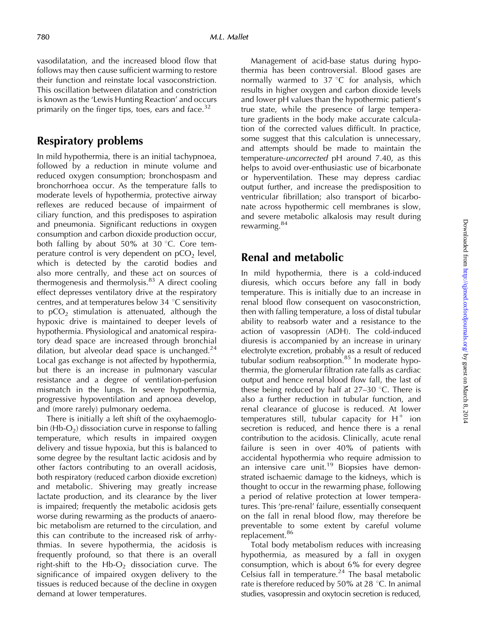vasodilatation, and the increased blood flow that follows may then cause sufficient warming to restore their function and reinstate local vasoconstriction. This oscillation between dilatation and constriction is known as the 'Lewis Hunting Reaction' and occurs primarily on the finger tips, toes, ears and face. $32$ 

### Respiratory problems

In mild hypothermia, there is an initial tachypnoea, followed by a reduction in minute volume and reduced oxygen consumption; bronchospasm and bronchorrhoea occur. As the temperature falls to moderate levels of hypothermia, protective airway reflexes are reduced because of impairment of ciliary function, and this predisposes to aspiration and pneumonia. Significant reductions in oxygen consumption and carbon dioxide production occur, both falling by about 50% at 30  $\degree$ C. Core temperature control is very dependent on  $pCO<sub>2</sub>$  level, which is detected by the carotid bodies and also more centrally, and these act on sources of thermogenesis and thermolysis. $83$  A direct cooling effect depresses ventilatory drive at the respiratory centres, and at temperatures below 34  $\degree$ C sensitivity to  $pCO<sub>2</sub>$  stimulation is attenuated, although the hypoxic drive is maintained to deeper levels of hypothermia. Physiological and anatomical respiratory dead space are increased through bronchial dilation, but alveolar dead space is unchanged. $24$ Local gas exchange is not affected by hypothermia, but there is an increase in pulmonary vascular resistance and a degree of ventilation-perfusion mismatch in the lungs. In severe hypothermia, progressive hypoventilation and apnoea develop, and (more rarely) pulmonary oedema.

There is initially a left shift of the oxyhaemoglobin (Hb- $O_2$ ) dissociation curve in response to falling temperature, which results in impaired oxygen delivery and tissue hypoxia, but this is balanced to some degree by the resultant lactic acidosis and by other factors contributing to an overall acidosis, both respiratory (reduced carbon dioxide excretion) and metabolic. Shivering may greatly increase lactate production, and its clearance by the liver is impaired; frequently the metabolic acidosis gets worse during rewarming as the products of anaerobic metabolism are returned to the circulation, and this can contribute to the increased risk of arrhythmias. In severe hypothermia, the acidosis is frequently profound, so that there is an overall right-shift to the  $Hb-O<sub>2</sub>$  dissociation curve. The significance of impaired oxygen delivery to the tissues is reduced because of the decline in oxygen demand at lower temperatures.

Management of acid-base status during hypothermia has been controversial. Blood gases are normally warmed to  $37 \text{ °C}$  for analysis, which results in higher oxygen and carbon dioxide levels and lower pH values than the hypothermic patient's true state, while the presence of large temperature gradients in the body make accurate calculation of the corrected values difficult. In practice, some suggest that this calculation is unnecessary, and attempts should be made to maintain the temperature-uncorrected pH around 7.40, as this helps to avoid over-enthusiastic use of bicarbonate or hyperventilation. These may depress cardiac output further, and increase the predisposition to ventricular fibrillation; also transport of bicarbonate across hypothermic cell membranes is slow, and severe metabolic alkalosis may result during rewarming.<sup>84</sup>

#### Renal and metabolic

In mild hypothermia, there is a cold-induced diuresis, which occurs before any fall in body temperature. This is initially due to an increase in renal blood flow consequent on vasoconstriction, then with falling temperature, a loss of distal tubular ability to reabsorb water and a resistance to the action of vasopressin (ADH). The cold-induced diuresis is accompanied by an increase in urinary electrolyte excretion, probably as a result of reduced tubular sodium reabsorption.<sup>85</sup> In moderate hypothermia, the glomerular filtration rate falls as cardiac output and hence renal blood flow fall, the last of these being reduced by half at  $27-30$  °C. There is also a further reduction in tubular function, and renal clearance of glucose is reduced. At lower temperatures still, tubular capacity for  $H^+$  ion secretion is reduced, and hence there is a renal contribution to the acidosis. Clinically, acute renal failure is seen in over 40% of patients with accidental hypothermia who require admission to an intensive care unit.<sup>19</sup> Biopsies have demonstrated ischaemic damage to the kidneys, which is thought to occur in the rewarming phase, following a period of relative protection at lower temperatures. This 'pre-renal' failure, essentially consequent on the fall in renal blood flow, may therefore be preventable to some extent by careful volume replacement.<sup>86</sup>

Total body metabolism reduces with increasing hypothermia, as measured by a fall in oxygen consumption, which is about 6% for every degree Celsius fall in temperature. $24$  The basal metabolic rate is therefore reduced by 50% at 28  $^{\circ}$ C. In animal studies, vasopressin and oxytocin secretion is reduced,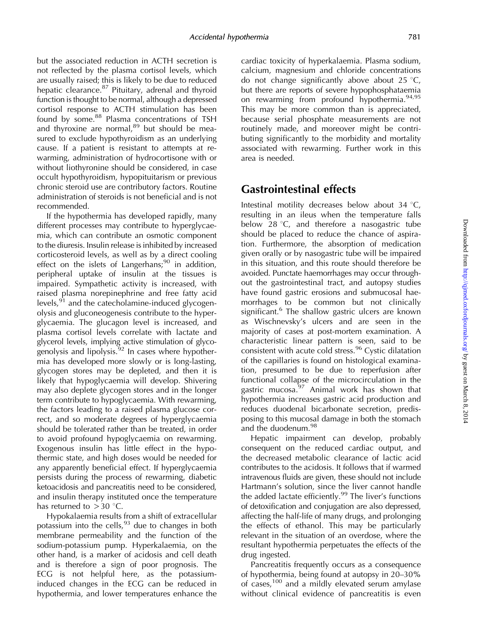but the associated reduction in ACTH secretion is not reflected by the plasma cortisol levels, which are usually raised; this is likely to be due to reduced hepatic clearance.<sup>87</sup> Pituitary, adrenal and thyroid function is thought to be normal, although a depressed cortisol response to ACTH stimulation has been found by some.<sup>88</sup> Plasma concentrations of TSH and thyroxine are normal, $89$  but should be measured to exclude hypothyroidism as an underlying cause. If a patient is resistant to attempts at rewarming, administration of hydrocortisone with or without liothyronine should be considered, in case occult hypothyroidism, hypopituitarism or previous chronic steroid use are contributory factors. Routine administration of steroids is not beneficial and is not recommended.

If the hypothermia has developed rapidly, many different processes may contribute to hyperglycaemia, which can contribute an osmotic component to the diuresis. Insulin release is inhibited by increased corticosteroid levels, as well as by a direct cooling effect on the islets of Langerhans; $90$  in addition, peripheral uptake of insulin at the tissues is impaired. Sympathetic activity is increased, with raised plasma norepinephrine and free fatty acid levels,<sup>91</sup> and the catecholamine-induced glycogenolysis and gluconeogenesis contribute to the hyperglycaemia. The glucagon level is increased, and plasma cortisol levels correlate with lactate and glycerol levels, implying active stimulation of glycogenolysis and lipolysis.<sup>92</sup> In cases where hypothermia has developed more slowly or is long-lasting, glycogen stores may be depleted, and then it is likely that hypoglycaemia will develop. Shivering may also deplete glycogen stores and in the longer term contribute to hypoglycaemia. With rewarming, the factors leading to a raised plasma glucose correct, and so moderate degrees of hyperglycaemia should be tolerated rather than be treated, in order to avoid profound hypoglycaemia on rewarming. Exogenous insulin has little effect in the hypothermic state, and high doses would be needed for any apparently beneficial effect. If hyperglycaemia persists during the process of rewarming, diabetic ketoacidosis and pancreatitis need to be considered, and insulin therapy instituted once the temperature has returned to  $>$  30 °C.

Hypokalaemia results from a shift of extracellular potassium into the cells,  $93$  due to changes in both membrane permeability and the function of the sodium-potassium pump. Hyperkalaemia, on the other hand, is a marker of acidosis and cell death and is therefore a sign of poor prognosis. The ECG is not helpful here, as the potassiuminduced changes in the ECG can be reduced in hypothermia, and lower temperatures enhance the

cardiac toxicity of hyperkalaemia. Plasma sodium, calcium, magnesium and chloride concentrations do not change significantly above about 25  $\degree$ C, but there are reports of severe hypophosphataemia on rewarming from profound hypothermia.<sup>94,95</sup> This may be more common than is appreciated, because serial phosphate measurements are not routinely made, and moreover might be contributing significantly to the morbidity and mortality associated with rewarming. Further work in this area is needed.

#### Gastrointestinal effects

Intestinal motility decreases below about  $34 \text{ }^{\circ}C$ , resulting in an ileus when the temperature falls below 28 °C, and therefore a nasogastric tube should be placed to reduce the chance of aspiration. Furthermore, the absorption of medication given orally or by nasogastric tube will be impaired in this situation, and this route should therefore be avoided. Punctate haemorrhages may occur throughout the gastrointestinal tract, and autopsy studies have found gastric erosions and submucosal haemorrhages to be common but not clinically significant.<sup>6</sup> The shallow gastric ulcers are known as Wischnevsky's ulcers and are seen in the majority of cases at post-mortem examination. A characteristic linear pattern is seen, said to be consistent with acute cold stress.<sup>96</sup> Cystic dilatation of the capillaries is found on histological examination, presumed to be due to reperfusion after functional collapse of the microcirculation in the gastric mucosa.<sup>97</sup> Animal work has shown that hypothermia increases gastric acid production and reduces duodenal bicarbonate secretion, predisposing to this mucosal damage in both the stomach and the duodenum.<sup>98</sup>

Hepatic impairment can develop, probably consequent on the reduced cardiac output, and the decreased metabolic clearance of lactic acid contributes to the acidosis. It follows that if warmed intravenous fluids are given, these should not include Hartmann's solution, since the liver cannot handle the added lactate efficiently.<sup>99</sup> The liver's functions of detoxification and conjugation are also depressed, affecting the half-life of many drugs, and prolonging the effects of ethanol. This may be particularly relevant in the situation of an overdose, where the resultant hypothermia perpetuates the effects of the drug ingested.

Pancreatitis frequently occurs as a consequence of hypothermia, being found at autopsy in 20–30% of cases,  $100$  and a mildly elevated serum amylase without clinical evidence of pancreatitis is even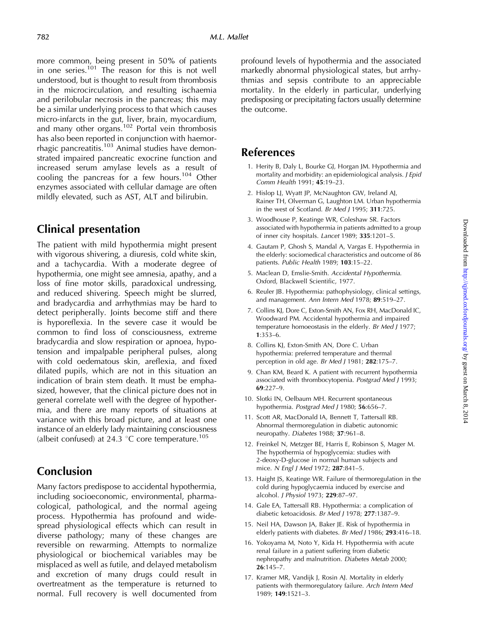more common, being present in 50% of patients in one series.<sup>101</sup> The reason for this is not well understood, but is thought to result from thrombosis in the microcirculation, and resulting ischaemia and perilobular necrosis in the pancreas; this may be a similar underlying process to that which causes micro-infarcts in the gut, liver, brain, myocardium, and many other organs.<sup>102</sup> Portal vein thrombosis has also been reported in conjunction with haemorrhagic pancreatitis.<sup>103</sup> Animal studies have demonstrated impaired pancreatic exocrine function and increased serum amylase levels as a result of cooling the pancreas for a few hours.<sup>104</sup> Other enzymes associated with cellular damage are often mildly elevated, such as AST, ALT and bilirubin.

# Clinical presentation

The patient with mild hypothermia might present with vigorous shivering, a diuresis, cold white skin, and a tachycardia. With a moderate degree of hypothermia, one might see amnesia, apathy, and a loss of fine motor skills, paradoxical undressing, and reduced shivering. Speech might be slurred, and bradycardia and arrhythmias may be hard to detect peripherally. Joints become stiff and there is hyporeflexia. In the severe case it would be common to find loss of consciousness, extreme bradycardia and slow respiration or apnoea, hypotension and impalpable peripheral pulses, along with cold oedematous skin, areflexia, and fixed dilated pupils, which are not in this situation an indication of brain stem death. It must be emphasized, however, that the clinical picture does not in general correlate well with the degree of hypothermia, and there are many reports of situations at variance with this broad picture, and at least one instance of an elderly lady maintaining consciousness (albeit confused) at 24.3  $\degree$ C core temperature.<sup>105</sup>

#### Conclusion

Many factors predispose to accidental hypothermia, including socioeconomic, environmental, pharmacological, pathological, and the normal ageing process. Hypothermia has profound and widespread physiological effects which can result in diverse pathology; many of these changes are reversible on rewarming. Attempts to normalize physiological or biochemical variables may be misplaced as well as futile, and delayed metabolism and excretion of many drugs could result in overtreatment as the temperature is returned to normal. Full recovery is well documented from profound levels of hypothermia and the associated markedly abnormal physiological states, but arrhythmias and sepsis contribute to an appreciable mortality. In the elderly in particular, underlying predisposing or precipitating factors usually determine the outcome.

#### References

- 1. Herity B, Daly L, Bourke GJ, Horgan JM. Hypothermia and mortality and morbidity: an epidemiological analysis. J Epid Comm Health 1991; 45:19–23.
- 2. Hislop LJ, Wyatt JP, McNaughton GW, Ireland AJ, Rainer TH, Olverman G, Laughton LM. Urban hypothermia in the west of Scotland. Br Med J 1995; 311:725.
- 3. Woodhouse P, Keatinge WR, Coleshaw SR. Factors associated with hypothermia in patients admitted to a group of inner city hospitals. Lancet 1989; 335:1201–5.
- 4. Gautam P, Ghosh S, Mandal A, Vargas E. Hypothermia in the elderly: sociomedical characteristics and outcome of 86 patients. Public Health 1989; 103:15–22.
- 5. Maclean D, Emslie-Smith. Accidental Hypothermia. Oxford, Blackwell Scientific, 1977.
- 6. Reuler JB. Hypothermia: pathophysiology, clinical settings, and management. Ann Intern Med 1978; 89:519–27.
- 7. Collins KJ, Dore C, Exton-Smith AN, Fox RH, MacDonald IC, Woodward PM. Accidental hypothermia and impaired temperature homoeostasis in the elderly. Br Med J 1977; 1:353–6.
- 8. Collins KJ, Exton-Smith AN, Dore C. Urban hypothermia: preferred temperature and thermal perception in old age. Br Med J 1981; 282:175-7.
- 9. Chan KM, Beard K. A patient with recurrent hypothermia associated with thrombocytopenia. Postgrad Med J 1993; 69:227–9.
- 10. Slotki IN, Oelbaum MH. Recurrent spontaneous hypothermia. Postgrad Med J 1980; 56:656-7.
- 11. Scott AR, MacDonald IA, Bennett T, Tattersall RB. Abnormal thermoregulation in diabetic autonomic neuropathy. Diabetes 1988; 37:961–8.
- 12. Freinkel N, Metzger BE, Harris E, Robinson S, Mager M. The hypothermia of hypoglycemia: studies with 2-deoxy-D-glucose in normal human subjects and mice. N Engl J Med 1972; 287:841–5.
- 13. Haight JS, Keatinge WR. Failure of thermoregulation in the cold during hypoglycaemia induced by exercise and alcohol. J Physiol 1973; 229:87–97.
- 14. Gale EA, Tattersall RB. Hypothermia: a complication of diabetic ketoacidosis. Br Med J 1978; 277:1387–9.
- 15. Neil HA, Dawson JA, Baker JE. Risk of hypothermia in elderly patients with diabetes. Br Med J 1986; 293:416–18.
- 16. Yokoyama M, Noto Y, Kida H. Hypothermia with acute renal failure in a patient suffering from diabetic nephropathy and malnutrition. Diabetes Metab 2000; 26:145–7.
- 17. Kramer MR, Vandijk J, Rosin AJ. Mortality in elderly patients with thermoregulatory failure. Arch Intern Med 1989; 149:1521–3.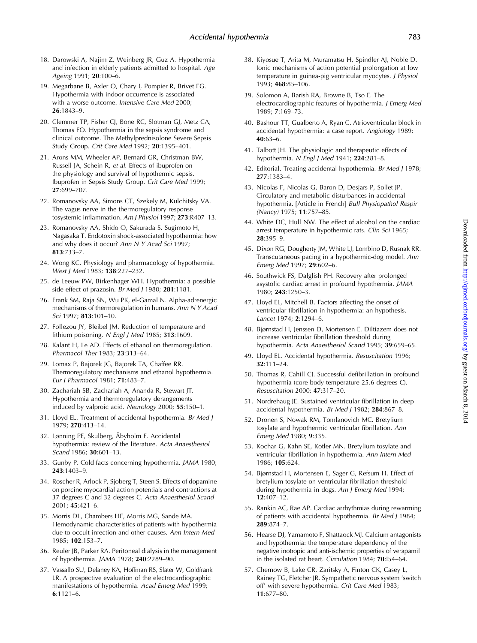- 18. Darowski A, Najim Z, Weinberg JR, Guz A. Hypothermia and infection in elderly patients admitted to hospital. Age Ageing 1991; 20:100–6.
- 19. Megarbane B, Axler O, Chary I, Pompier R, Brivet FG. Hypothermia with indoor occurrence is associated with a worse outcome. Intensive Care Med 2000; 26:1843–9.
- 20. Clemmer TP, Fisher CJ, Bone RC, Slotman GJ, Metz CA, Thomas FO. Hypothermia in the sepsis syndrome and clinical outcome. The Methylprednisolone Severe Sepsis Study Group. Crit Care Med 1992; 20:1395–401.
- 21. Arons MM, Wheeler AP, Bernard GR, Christman BW, Russell JA, Schein R, et al. Effects of ibuprofen on the physiology and survival of hypothermic sepsis. Ibuprofen in Sepsis Study Group. Crit Care Med 1999; 27:699–707.
- 22. Romanovsky AA, Simons CT, Szekely M, Kulchitsky VA. The vagus nerve in the thermoregulatory response tosystemic inflammation. Am J Physiol 1997; 273:R407–13.
- 23. Romanovsky AA, Shido O, Sakurada S, Sugimoto H, Nagasaka T. Endotoxin shock-associated hypothermia: how and why does it occur? Ann N Y Acad Sci 1997; 813:733–7.
- 24. Wong KC. Physiology and pharmacology of hypothermia. West J Med 1983; 138:227–232.
- 25. de Leeuw PW, Birkenhager WH. Hypothermia: a possible side effect of prazosin. Br Med J 1980; 281:1181.
- 26. Frank SM, Raja SN, Wu PK, el-Gamal N. Alpha-adrenergic mechanisms of thermoregulation in humans. Ann N Y Acad Sci 1997; 813:101–10.
- 27. Follezou JY, Bleibel JM. Reduction of temperature and lithium poisoning. N Engl J Med 1985; 313:1609.
- 28. Kalant H, Le AD. Effects of ethanol on thermoregulation. Pharmacol Ther 1983; 23:313–64.
- 29. Lomax P, Bajorek JG, Bajorek TA, Chaffee RR. Thermoregulatory mechanisms and ethanol hypothermia. Eur J Pharmacol 1981; 71:483–7.
- 30. Zachariah SB, Zachariah A, Ananda R, Stewart JT. Hypothermia and thermoregulatory derangements induced by valproic acid. Neurology 2000; 55:150–1.
- 31. Lloyd EL. Treatment of accidental hypothermia. Br Med J 1979; 278:413–14.
- 32. Lønning PE, Skulberg, Åbyholm F. Accidental hypothermia: review of the literature. Acta Anaesthesiol Scand 1986; 30:601–13.
- 33. Gunby P. Cold facts concerning hypothermia. JAMA 1980; 243:1403–9.
- 34. Roscher R, Arlock P, Sjoberg T, Steen S. Effects of dopamine on porcine myocardial action potentials and contractions at 37 degrees C and 32 degrees C. Acta Anaesthesiol Scand 2001; 45:421–6.
- 35. Morris DL, Chambers HF, Morris MG, Sande MA. Hemodynamic characteristics of patients with hypothermia due to occult infection and other causes. Ann Intern Med 1985; 102:153–7.
- 36. Reuler JB, Parker RA. Peritoneal dialysis in the management of hypothermia. JAMA 1978; 240:2289–90.
- 37. Vassallo SU, Delaney KA, Hoffman RS, Slater W, Goldfrank LR. A prospective evaluation of the electrocardiographic manifestations of hypothermia. Acad Emerg Med 1999; 6:1121–6.
- 38. Kiyosue T, Arita M, Muramatsu H, Spindler AJ, Noble D. Ionic mechanisms of action potential prolongation at low temperature in guinea-pig ventricular myocytes. J Physiol 1993; 468:85–106.
- 39. Solomon A, Barish RA, Browne B, Tso E. The electrocardiographic features of hypothermia. J Emerg Med 1989; 7:169–73.
- 40. Bashour TT, Gualberto A, Ryan C. Atrioventricular block in accidental hypothermia: a case report. Angiology 1989; 40:63–6.
- 41. Talbott JH. The physiologic and therapeutic effects of hypothermia. N Engl J Med 1941; 224:281–8.
- 42. Editorial. Treating accidental hypothermia. Br Med J 1978; 277:1383–4.
- 43. Nicolas F, Nicolas G, Baron D, Desjars P, Sollet JP. Circulatory and metabolic disturbances in accidental hypothermia. [Article in French] Bull Physiopathol Respir (Nancy) 1975; 11:757–85.
- 44. White DC, Hull NW. The effect of alcohol on the cardiac arrest temperature in hypothermic rats. Clin Sci 1965; 28:395–9.
- 45. Dixon RG, Dougherty JM, White LJ, Lombino D, Rusnak RR. Transcutaneous pacing in a hypothermic-dog model. Ann Emerg Med 1997; 29:602–6.
- 46. Southwick FS, Dalglish PH. Recovery after prolonged asystolic cardiac arrest in profound hypothermia. JAMA 1980; 243:1250–3.
- 47. Lloyd EL, Mitchell B. Factors affecting the onset of ventricular fibrillation in hypothermia: an hypothesis. Lancet 1974; 2:1294–6.
- 48. Bjørnstad H, Jenssen D, Mortensen E. Diltiazem does not increase ventricular fibrillation threshold during hypothermia. Acta Anaesthesiol Scand 1995; 39:659–65.
- 49. Lloyd EL. Accidental hypothermia. Resuscitation 1996; 32:111–24.
- 50. Thomas R, Cahill CJ. Successful defibrillation in profound hypothermia (core body temperature 25.6 degrees C). Resuscitation 2000; 47:317–20.
- 51. Nordrehaug JE. Sustained ventricular fibrillation in deep accidental hypothermia. Br Med J 1982; 284:867–8.
- 52. Dronen S, Nowak RM, Tomlanovich MC. Bretylium tosylate and hypothermic ventricular fibrillation. Ann Emerg Med 1980; 9:335.
- 53. Kochar G, Kahn SE, Kotler MN. Bretylium tosylate and ventricular fibrillation in hypothermia. Ann Intern Med 1986; 105:624.
- 54. Bjørnstad H, Mortensen E, Sager G, Refsum H. Effect of bretylium tosylate on ventricular fibrillation threshold during hypothermia in dogs. Am J Emerg Med 1994; 12:407–12.
- 55. Rankin AC, Rae AP. Cardiac arrhythmias during rewarming of patients with accidental hypothermia. Br Med J 1984; 289:874–7.
- 56. Hearse DJ, Yamamoto F, Shattaock MJ. Calcium antagonists and hypothermia: the temperature dependency of the negative inotropic and anti-ischemic properties of verapamil in the isolated rat heart. Circulation 1984; 70:I54–64.
- 57. Chernow B, Lake CR, Zaritsky A, Finton CK, Casey L, Rainey TG, Fletcher JR. Sympathetic nervous system 'switch off' with severe hypothermia. Crit Care Med 1983; 11:677–80.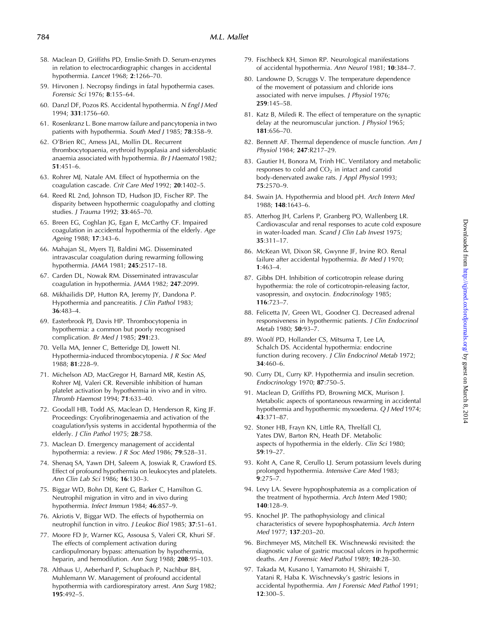- 58. Maclean D, Griffiths PD, Emslie-Smith D. Serum-enzymes in relation to electrocardiographic changes in accidental hypothermia. Lancet 1968; 2:1266–70.
- 59. Hirvonen J. Necropsy findings in fatal hypothermia cases. Forensic Sci 1976; 8:155–64.
- 60. Danzl DF, Pozos RS. Accidental hypothermia. N Engl J Med 1994; 331:1756–60.
- 61. Rosenkranz L. Bone marrow failure and pancytopenia in two patients with hypothermia. South Med J 1985; 78:358-9.
- 62. O'Brien RC, Amess JAL, Mollin DL. Recurrent thrombocytopaenia, erythroid hypoplasia and sideroblastic anaemia associated with hypothermia. Br J Haematol 1982; 51:451–6.
- 63. Rohrer MJ, Natale AM. Effect of hypothermia on the coagulation cascade. Crit Care Med 1992; 20:1402–5.
- 64. Reed RL 2nd, Johnson TD, Hudson JD, Fischer RP. The disparity between hypothermic coagulopathy and clotting studies. J Trauma 1992; 33:465–70.
- 65. Breen EG, Coghlan JG, Egan E, McCarthy CF. Impaired coagulation in accidental hypothermia of the elderly. Age Ageing 1988; 17:343–6.
- 66. Mahajan SL, Myers TJ, Baldini MG. Disseminated intravascular coagulation during rewarming following hypothermia. JAMA 1981; 245:2517–18.
- 67. Carden DL, Nowak RM. Disseminated intravascular coagulation in hypothermia. JAMA 1982; 247:2099.
- 68. Mikhailidis DP, Hutton RA, Jeremy JY, Dandona P. Hypothermia and pancreatitis. J Clin Pathol 1983; 36:483–4.
- 69. Easterbrook PJ, Davis HP. Thrombocytopenia in hypothermia: a common but poorly recognised complication. Br Med J 1985; 291:23.
- 70. Vella MA, Jenner C, Betteridge DJ, Jowett NI. Hypothermia-induced thrombocytopenia. J R Soc Med 1988; 81:228–9.
- 71. Michelson AD, MacGregor H, Barnard MR, Kestin AS, Rohrer MJ, Valeri CR. Reversible inhibition of human platelet activation by hypothermia in vivo and in vitro. Thromb Haemost 1994; 71:633–40.
- 72. Goodall HB, Todd AS, Maclean D, Henderson R, King JF. Proceedings: Cryofibrinogenaemia and activation of the coagulation/lysis systems in accidental hypothermia of the elderly. J Clin Pathol 1975; 28:758.
- 73. Maclean D. Emergency management of accidental hypothermia: a review. J R Soc Med 1986; 79:528–31.
- 74. Shenaq SA, Yawn DH, Saleem A, Joswiak R, Crawford ES. Effect of profound hypothermia on leukocytes and platelets. Ann Clin Lab Sci 1986; 16:130–3.
- 75. Biggar WD, Bohn DJ, Kent G, Barker C, Hamilton G. Neutrophil migration in vitro and in vivo during hypothermia. Infect Immun 1984; 46:857–9.
- 76. Akriotis V, Biggar WD. The effects of hypothermia on neutrophil function in vitro. J Leukoc Biol 1985; 37:51–61.
- 77. Moore FD Jr, Warner KG, Assousa S, Valeri CR, Khuri SF. The effects of complement activation during cardiopulmonary bypass: attenuation by hypothermia, heparin, and hemodilution. Ann Surg 1988; 208:95-103.
- 78. Althaus U, Aeberhard P, Schupbach P, Nachbur BH, Muhlemann W. Management of profound accidental hypothermia with cardiorespiratory arrest. Ann Surg 1982; 195:492–5.
- 79. Fischbeck KH, Simon RP. Neurological manifestations of accidental hypothermia. Ann Neurol 1981; 10:384–7.
- 80. Landowne D, Scruggs V. The temperature dependence of the movement of potassium and chloride ions associated with nerve impulses. J Physiol 1976; 259:145–58.
- 81. Katz B, Miledi R. The effect of temperature on the synaptic delay at the neuromuscular junction. J Physiol 1965; 181:656–70.
- 82. Bennett AF. Thermal dependence of muscle function. Am J Physiol 1984; 247:R217–29.
- 83. Gautier H, Bonora M, Trinh HC. Ventilatory and metabolic responses to cold and  $CO<sub>2</sub>$  in intact and carotid body-denervated awake rats. J Appl Physiol 1993; 75:2570–9.
- 84. Swain JA. Hypothermia and blood pH. Arch Intern Med 1988; 148:1643–6.
- 85. Atterhog JH, Carlens P, Granberg PO, Wallenberg LR. Cardiovascular and renal responses to acute cold exposure in water-loaded man. Scand J Clin Lab Invest 1975; 35:311–17.
- 86. McKean WI, Dixon SR, Gwynne JF, Irvine RO. Renal failure after accidental hypothermia. Br Med J 1970; 1:463–4.
- 87. Gibbs DH. Inhibition of corticotropin release during hypothermia: the role of corticotropin-releasing factor, vasopressin, and oxytocin. Endocrinology 1985; 116:723–7.
- 88. Felicetta JV, Green WL, Goodner CJ. Decreased adrenal responsiveness in hypothermic patients. J Clin Endocrinol Metab 1980; 50:93–7.
- 89. Woolf PD, Hollander CS, Mitsuma T, Lee LA, Schalch DS. Accidental hypothermia: endocrine function during recovery. J Clin Endocrinol Metab 1972; 34:460–6.
- 90. Curry DL, Curry KP. Hypothermia and insulin secretion. Endocrinology 1970; 87:750–5.
- 91. Maclean D, Griffiths PD, Browning MCK, Murison J. Metabolic aspects of spontaneous rewarming in accidental hypothermia and hypothermic myxoedema. Q J Med 1974; 43:371–87.
- 92. Stoner HB, Frayn KN, Little RA, Threlfall CJ, Yates DW, Barton RN, Heath DF. Metabolic aspects of hypothermia in the elderly. Clin Sci 1980; 59:19–27.
- 93. Koht A, Cane R, Cerullo LJ. Serum potassium levels during prolonged hypothermia. Intensive Care Med 1983; 9:275–7.
- 94. Levy LA. Severe hypophosphatemia as a complication of the treatment of hypothermia. Arch Intern Med 1980; 140:128–9.
- 95. Knochel JP. The pathophysiology and clinical characteristics of severe hypophosphatemia. Arch Intern Med 1977; 137:203–20.
- 96. Birchmeyer MS, Mitchell EK. Wischnewski revisited: the diagnostic value of gastric mucosal ulcers in hypothermic deaths. Am J Forensic Med Pathol 1989; 10:28–30.
- 97. Takada M, Kusano I, Yamamoto H, Shiraishi T, Yatani R, Haba K. Wischnevsky's gastric lesions in accidental hypothermia. Am J Forensic Med Pathol 1991; 12:300–5.